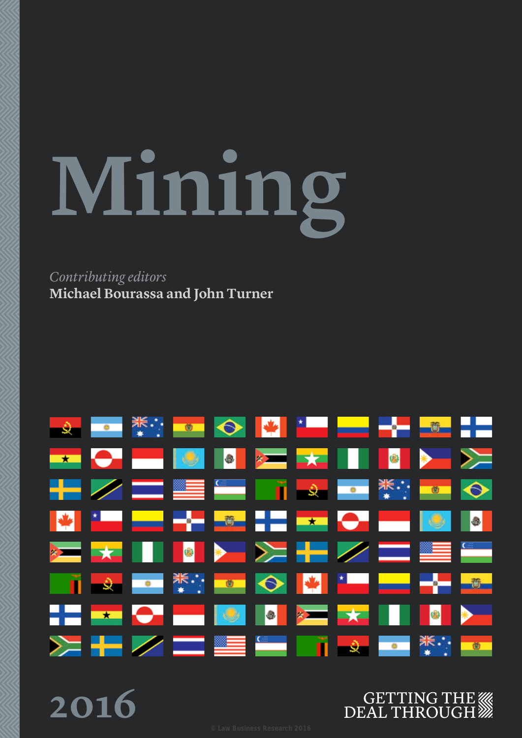# **Mining**

## *Contributing editors* **Michael Bourassa and John Turner**



**2016**

# GETTING THE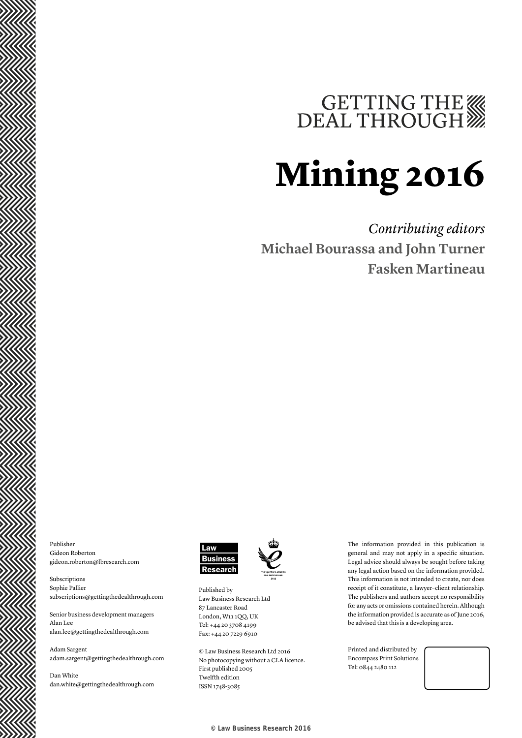# GETTING THE WE DEAL THROUGH

# **Mining 2016**

*Contributing editors* **Michael Bourassa and John Turner Fasken Martineau**

Publisher Gideon Roberton gideon.roberton@lbresearch.com

Subscriptions Sophie Pallier subscriptions@gettingthedealthrough.com

Senior business development managers Alan Lee alan.lee@gettingthedealthrough.com

Adam Sargent adam.sargent@gettingthedealthrough.com

Dan White dan.white@gettingthedealthrough.com



Published by Law Business Research Ltd 87 Lancaster Road London, W11 1QQ, UK Tel: +44 20 3708 4199 Fax: +44 20 7229 6910

© Law Business Research Ltd 2016 No photocopying without a CLA licence. First published 2005 Twelfth edition ISSN 1748-3085

The information provided in this publication is general and may not apply in a specific situation. Legal advice should always be sought before taking any legal action based on the information provided. This information is not intended to create, nor does receipt of it constitute, a lawyer–client relationship. The publishers and authors accept no responsibility for any acts or omissions contained herein. Although the information provided is accurate as of June 2016, be advised that this is a developing area.

Printed and distributed by Encompass Print Solutions Tel: 0844 2480 112

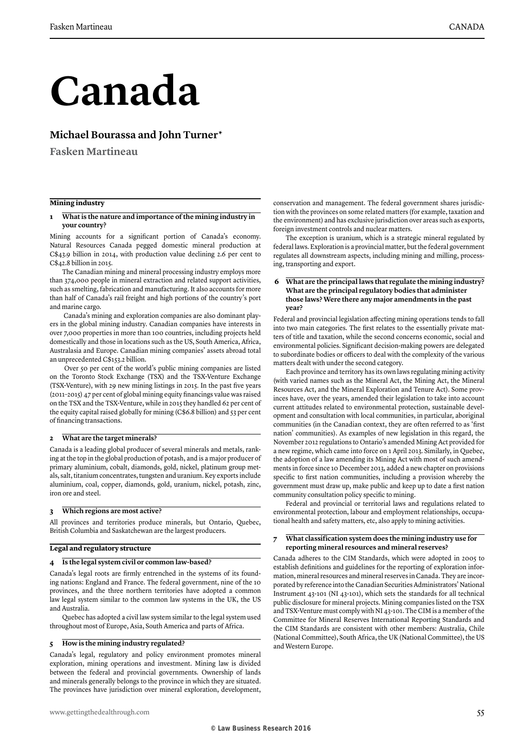# **Canada**

## **Michael Bourassa and John Turner\***

**Fasken Martineau**

#### **Mining industry**

#### **1 What is the nature and importance of the mining industry in your country?**

Mining accounts for a significant portion of Canada's economy. Natural Resources Canada pegged domestic mineral production at C\$43.9 billion in 2014, with production value declining 2.6 per cent to C\$42.8 billion in 2015.

The Canadian mining and mineral processing industry employs more than 374,000 people in mineral extraction and related support activities, such as smelting, fabrication and manufacturing. It also accounts for more than half of Canada's rail freight and high portions of the country's port and marine cargo.

 Canada's mining and exploration companies are also dominant players in the global mining industry. Canadian companies have interests in over 7,000 properties in more than 100 countries, including projects held domestically and those in locations such as the US, South America, Africa, Australasia and Europe. Canadian mining companies' assets abroad total an unprecedented C\$153.2 billion.

 Over 50 per cent of the world's public mining companies are listed on the Toronto Stock Exchange (TSX) and the TSX-Venture Exchange (TSX-Venture), with 29 new mining listings in 2015. In the past five years (2011–2015) 47 per cent of global mining equity financings value was raised on the TSX and the TSX-Venture, while in 2015 they handled 62 per cent of the equity capital raised globally for mining (C\$6.8 billion) and 53 per cent of financing transactions.

#### **2 What are the target minerals?**

Canada is a leading global producer of several minerals and metals, ranking at the top in the global production of potash, and is a major producer of primary aluminium, cobalt, diamonds, gold, nickel, platinum group metals, salt, titanium concentrates, tungsten and uranium. Key exports include aluminium, coal, copper, diamonds, gold, uranium, nickel, potash, zinc, iron ore and steel.

#### **3 Which regions are most active?**

All provinces and territories produce minerals, but Ontario, Quebec, British Columbia and Saskatchewan are the largest producers.

#### **Legal and regulatory structure**

#### **4 Is the legal system civil or common law-based?**

Canada's legal roots are firmly entrenched in the systems of its founding nations: England and France. The federal government, nine of the 10 provinces, and the three northern territories have adopted a common law legal system similar to the common law systems in the UK, the US and Australia.

Quebec has adopted a civil law system similar to the legal system used throughout most of Europe, Asia, South America and parts of Africa.

#### **5 How is the mining industry regulated?**

Canada's legal, regulatory and policy environment promotes mineral exploration, mining operations and investment. Mining law is divided between the federal and provincial governments. Ownership of lands and minerals generally belongs to the province in which they are situated. The provinces have jurisdiction over mineral exploration, development, conservation and management. The federal government shares jurisdiction with the provinces on some related matters (for example, taxation and the environment) and has exclusive jurisdiction over areas such as exports, foreign investment controls and nuclear matters.

The exception is uranium, which is a strategic mineral regulated by federal laws. Exploration is a provincial matter, but the federal government regulates all downstream aspects, including mining and milling, processing, transporting and export.

#### **6 What are the principal laws that regulate the mining industry? What are the principal regulatory bodies that administer those laws? Were there any major amendments in the past year?**

Federal and provincial legislation affecting mining operations tends to fall into two main categories. The first relates to the essentially private matters of title and taxation, while the second concerns economic, social and environmental policies. Significant decision-making powers are delegated to subordinate bodies or officers to deal with the complexity of the various matters dealt with under the second category.

Each province and territory has its own laws regulating mining activity (with varied names such as the Mineral Act, the Mining Act, the Mineral Resources Act, and the Mineral Exploration and Tenure Act). Some provinces have, over the years, amended their legislation to take into account current attitudes related to environmental protection, sustainable development and consultation with local communities, in particular, aboriginal communities (in the Canadian context, they are often referred to as 'first nation' communities). As examples of new legislation in this regard, the November 2012 regulations to Ontario's amended Mining Act provided for a new regime, which came into force on 1 April 2013. Similarly, in Quebec, the adoption of a law amending its Mining Act with most of such amendments in force since 10 December 2013, added a new chapter on provisions specific to first nation communities, including a provision whereby the government must draw up, make public and keep up to date a first nation community consultation policy specific to mining.

Federal and provincial or territorial laws and regulations related to environmental protection, labour and employment relationships, occupational health and safety matters, etc, also apply to mining activities.

#### **7 What classification system does the mining industry use for reporting mineral resources and mineral reserves?**

Canada adheres to the CIM Standards, which were adopted in 2005 to establish definitions and guidelines for the reporting of exploration information, mineral resources and mineral reserves in Canada. They are incorporated by reference into the Canadian Securities Administrators' National Instrument 43-101 (NI 43-101), which sets the standards for all technical public disclosure for mineral projects. Mining companies listed on the TSX and TSX-Venture must comply with NI 43-101. The CIM is a member of the Committee for Mineral Reserves International Reporting Standards and the CIM Standards are consistent with other members: Australia, Chile (National Committee), South Africa, the UK (National Committee), the US and Western Europe.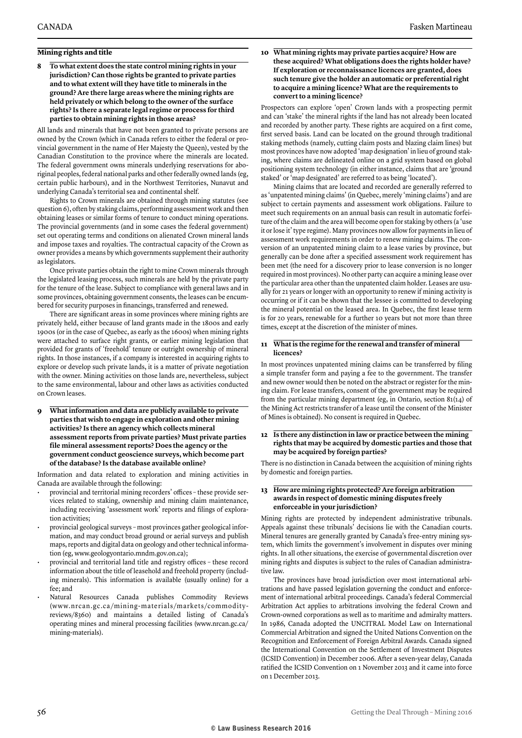#### **Mining rights and title**

**8 To what extent does the state control mining rights in your jurisdiction? Can those rights be granted to private parties and to what extent will they have title to minerals in the ground? Are there large areas where the mining rights are held privately or which belong to the owner of the surface rights? Is there a separate legal regime or process for third parties to obtain mining rights in those areas?**

All lands and minerals that have not been granted to private persons are owned by the Crown (which in Canada refers to either the federal or provincial government in the name of Her Majesty the Queen), vested by the Canadian Constitution to the province where the minerals are located. The federal government owns minerals underlying reservations for aboriginal peoples, federal national parks and other federally owned lands (eg, certain public harbours), and in the Northwest Territories, Nunavut and underlying Canada's territorial sea and continental shelf.

Rights to Crown minerals are obtained through mining statutes (see question 6), often by staking claims, performing assessment work and then obtaining leases or similar forms of tenure to conduct mining operations. The provincial governments (and in some cases the federal government) set out operating terms and conditions on alienated Crown mineral lands and impose taxes and royalties. The contractual capacity of the Crown as owner provides a means by which governments supplement their authority as legislators.

Once private parties obtain the right to mine Crown minerals through the legislated leasing process, such minerals are held by the private party for the tenure of the lease. Subject to compliance with general laws and in some provinces, obtaining government consents, the leases can be encumbered for security purposes in financings, transferred and renewed.

There are significant areas in some provinces where mining rights are privately held, either because of land grants made in the 1800s and early 1900s (or in the case of Quebec, as early as the 1600s) when mining rights were attached to surface right grants, or earlier mining legislation that provided for grants of 'freehold' tenure or outright ownership of mineral rights. In those instances, if a company is interested in acquiring rights to explore or develop such private lands, it is a matter of private negotiation with the owner. Mining activities on those lands are, nevertheless, subject to the same environmental, labour and other laws as activities conducted on Crown leases.

**9 What information and data are publicly available to private parties that wish to engage in exploration and other mining activities? Is there an agency which collects mineral assessment reports from private parties? Must private parties file mineral assessment reports? Does the agency or the government conduct geoscience surveys, which become part of the database? Is the database available online?**

Information and data related to exploration and mining activities in Canada are available through the following:

- provincial and territorial mining recorders' offices these provide services related to staking, ownership and mining claim maintenance, including receiving 'assessment work' reports and filings of exploration activities;
- provincial geological surveys most provinces gather geological information, and may conduct broad ground or aerial surveys and publish maps, reports and digital data on geology and other technical information (eg, www.geologyontario.mndm.gov.on.ca);
- provincial and territorial land title and registry offices these record information about the title of leasehold and freehold property (including minerals). This information is available (usually online) for a fee; and
- Natural Resources Canada publishes Commodity Reviews (www.nrcan .gc.ca/mining-materials/markets/commo dityreviews/8360) and maintains a detailed listing of Canada's operating mines and mineral processing facilities (www.nrcan.gc.ca/ mining-materials).

#### **10 What mining rights may private parties acquire? How are these acquired? What obligations does the rights holder have? If exploration or reconnaissance licences are granted, does such tenure give the holder an automatic or preferential right to acquire a mining licence? What are the requirements to convert to a mining licence?**

Prospectors can explore 'open' Crown lands with a prospecting permit and can 'stake' the mineral rights if the land has not already been located and recorded by another party. These rights are acquired on a first come, first served basis. Land can be located on the ground through traditional staking methods (namely, cutting claim posts and blazing claim lines) but most provinces have now adopted 'map designation' in lieu of ground staking, where claims are delineated online on a grid system based on global positioning system technology (in either instance, claims that are 'ground staked' or 'map designated' are referred to as being 'located').

Mining claims that are located and recorded are generally referred to as 'unpatented mining claims' (in Quebec, merely 'mining claims') and are subject to certain payments and assessment work obligations. Failure to meet such requirements on an annual basis can result in automatic forfeiture of the claim and the area will become open for staking by others (a 'use it or lose it' type regime). Many provinces now allow for payments in lieu of assessment work requirements in order to renew mining claims. The conversion of an unpatented mining claim to a lease varies by province, but generally can be done after a specified assessment work requirement has been met (the need for a discovery prior to lease conversion is no longer required in most provinces). No other party can acquire a mining lease over the particular area other than the unpatented claim holder. Leases are usually for 21 years or longer with an opportunity to renew if mining activity is occurring or if it can be shown that the lessee is committed to developing the mineral potential on the leased area. In Quebec, the first lease term is for 20 years, renewable for a further 10 years but not more than three times, except at the discretion of the minister of mines.

#### **11 What is the regime for the renewal and transfer of mineral licences?**

In most provinces unpatented mining claims can be transferred by filing a simple transfer form and paying a fee to the government. The transfer and new owner would then be noted on the abstract or register for the mining claim. For lease transfers, consent of the government may be required from the particular mining department (eg, in Ontario, section 81(14) of the Mining Act restricts transfer of a lease until the consent of the Minister of Mines is obtained). No consent is required in Quebec.

#### **12 Is there any distinction in law or practice between the mining rights that may be acquired by domestic parties and those that may be acquired by foreign parties?**

There is no distinction in Canada between the acquisition of mining rights by domestic and foreign parties.

#### **13 How are mining rights protected? Are foreign arbitration awards in respect of domestic mining disputes freely enforceable in your jurisdiction?**

Mining rights are protected by independent administrative tribunals. Appeals against these tribunals' decisions lie with the Canadian courts. Mineral tenures are generally granted by Canada's free-entry mining system, which limits the government's involvement in disputes over mining rights. In all other situations, the exercise of governmental discretion over mining rights and disputes is subject to the rules of Canadian administrative law.

The provinces have broad jurisdiction over most international arbitrations and have passed legislation governing the conduct and enforcement of international arbitral proceedings. Canada's federal Commercial Arbitration Act applies to arbitrations involving the federal Crown and Crown-owned corporations as well as to maritime and admiralty matters. In 1986, Canada adopted the UNCITRAL Model Law on International Commercial Arbitration and signed the United Nations Convention on the Recognition and Enforcement of Foreign Arbitral Awards. Canada signed the International Convention on the Settlement of Investment Disputes (ICSID Convention) in December 2006. After a seven-year delay, Canada ratified the ICSID Convention on 1 November 2013 and it came into force on 1 December 2013.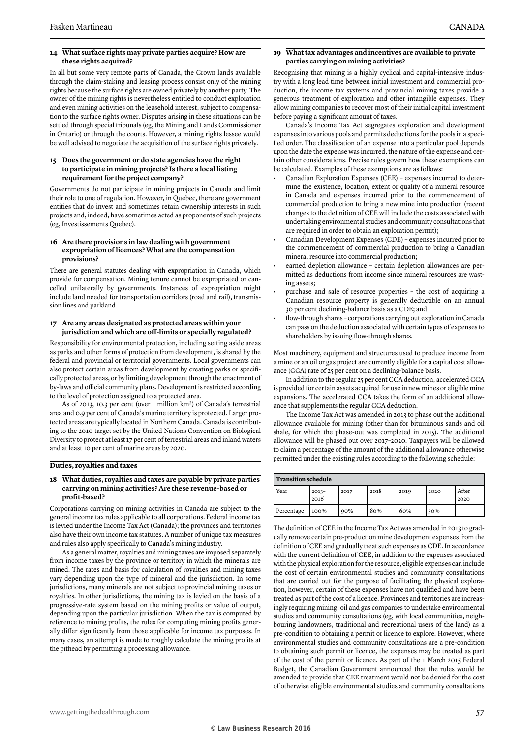#### **14 What surface rights may private parties acquire? How are these rights acquired?**

In all but some very remote parts of Canada, the Crown lands available through the claim-staking and leasing process consist only of the mining rights because the surface rights are owned privately by another party. The owner of the mining rights is nevertheless entitled to conduct exploration and even mining activities on the leasehold interest, subject to compensation to the surface rights owner. Disputes arising in these situations can be settled through special tribunals (eg, the Mining and Lands Commissioner in Ontario) or through the courts. However, a mining rights lessee would be well advised to negotiate the acquisition of the surface rights privately.

#### **15 Does the government or do state agencies have the right to participate in mining projects? Is there a local listing requirement for the project company?**

Governments do not participate in mining projects in Canada and limit their role to one of regulation. However, in Quebec, there are government entities that do invest and sometimes retain ownership interests in such projects and, indeed, have sometimes acted as proponents of such projects (eg, Investissements Quebec).

#### **16 Are there provisions in law dealing with government expropriation of licences? What are the compensation provisions?**

There are general statutes dealing with expropriation in Canada, which provide for compensation. Mining tenure cannot be expropriated or cancelled unilaterally by governments. Instances of expropriation might include land needed for transportation corridors (road and rail), transmission lines and parkland.

#### **17 Are any areas designated as protected areas within your jurisdiction and which are off-limits or specially regulated?**

Responsibility for environmental protection, including setting aside areas as parks and other forms of protection from development, is shared by the federal and provincial or territorial governments. Local governments can also protect certain areas from development by creating parks or specifically protected areas, or by limiting development through the enactment of by-laws and official community plans. Development is restricted according to the level of protection assigned to a protected area.

As of 2013, 10.3 per cent (over 1 million km2) of Canada's terrestrial area and 0.9 per cent of Canada's marine territory is protected. Larger protected areas are typically located in Northern Canada. Canada is contributing to the 2010 target set by the United Nations Convention on Biological Diversity to protect at least 17 per cent of terrestrial areas and inland waters and at least 10 per cent of marine areas by 2020.

#### **Duties, royalties and taxes**

#### **18 What duties, royalties and taxes are payable by private parties carrying on mining activities? Are these revenue-based or profit-based?**

Corporations carrying on mining activities in Canada are subject to the general income tax rules applicable to all corporations. Federal income tax is levied under the Income Tax Act (Canada); the provinces and territories also have their own income tax statutes. A number of unique tax measures and rules also apply specifically to Canada's mining industry.

As a general matter, royalties and mining taxes are imposed separately from income taxes by the province or territory in which the minerals are mined. The rates and basis for calculation of royalties and mining taxes vary depending upon the type of mineral and the jurisdiction. In some jurisdictions, many minerals are not subject to provincial mining taxes or royalties. In other jurisdictions, the mining tax is levied on the basis of a progressive-rate system based on the mining profits or value of output, depending upon the particular jurisdiction. When the tax is computed by reference to mining profits, the rules for computing mining profits generally differ significantly from those applicable for income tax purposes. In many cases, an attempt is made to roughly calculate the mining profits at the pithead by permitting a processing allowance.

#### **19 What tax advantages and incentives are available to private parties carrying on mining activities?**

Recognising that mining is a highly cyclical and capital-intensive industry with a long lead time between initial investment and commercial production, the income tax systems and provincial mining taxes provide a generous treatment of exploration and other intangible expenses. They allow mining companies to recover most of their initial capital investment before paying a significant amount of taxes.

Canada's Income Tax Act segregates exploration and development expenses into various pools and permits deductions for the pools in a specified order. The classification of an expense into a particular pool depends upon the date the expense was incurred, the nature of the expense and certain other considerations. Precise rules govern how these exemptions can be calculated. Examples of these exemptions are as follows:

- Canadian Exploration Expenses (CEE) expenses incurred to determine the existence, location, extent or quality of a mineral resource in Canada and expenses incurred prior to the commencement of commercial production to bring a new mine into production (recent changes to the definition of CEE will include the costs associated with undertaking environmental studies and community consultations that are required in order to obtain an exploration permit);
- Canadian Development Expenses (CDE) expenses incurred prior to the commencement of commercial production to bring a Canadian mineral resource into commercial production;
- earned depletion allowance certain depletion allowances are permitted as deductions from income since mineral resources are wasting assets;
- purchase and sale of resource properties the cost of acquiring a Canadian resource property is generally deductible on an annual 30 per cent declining-balance basis as a CDE; and
- flow-through shares corporations carrying out exploration in Canada can pass on the deduction associated with certain types of expenses to shareholders by issuing flow-through shares.

Most machinery, equipment and structures used to produce income from a mine or an oil or gas project are currently eligible for a capital cost allowance (CCA) rate of 25 per cent on a declining-balance basis.

In addition to the regular 25 per cent CCA deduction, accelerated CCA is provided for certain assets acquired for use in new mines or eligible mine expansions. The accelerated CCA takes the form of an additional allowance that supplements the regular CCA deduction.

The Income Tax Act was amended in 2013 to phase out the additional allowance available for mining (other than for bituminous sands and oil shale, for which the phase-out was completed in 2015). The additional allowance will be phased out over 2017–2020. Taxpayers will be allowed to claim a percentage of the amount of the additional allowance otherwise permitted under the existing rules according to the following schedule:

| <b>Transition schedule</b> |                 |      |      |      |      |               |
|----------------------------|-----------------|------|------|------|------|---------------|
| Year                       | $2013-$<br>2016 | 2017 | 2018 | 2019 | 2020 | After<br>2020 |
| Percentage                 | 100%            | 90%  | 80%  | 60%  | 30%  |               |

The definition of CEE in the Income Tax Act was amended in 2013 to gradually remove certain pre-production mine development expenses from the definition of CEE and gradually treat such expenses as CDE. In accordance with the current definition of CEE, in addition to the expenses associated with the physical exploration for the resource, eligible expenses can include the cost of certain environmental studies and community consultations that are carried out for the purpose of facilitating the physical exploration, however, certain of these expenses have not qualified and have been treated as part of the cost of a licence. Provinces and territories are increasingly requiring mining, oil and gas companies to undertake environmental studies and community consultations (eg, with local communities, neighbouring landowners, traditional and recreational users of the land) as a pre-condition to obtaining a permit or licence to explore. However, where environmental studies and community consultations are a pre-condition to obtaining such permit or licence, the expenses may be treated as part of the cost of the permit or licence. As part of the 1 March 2015 Federal Budget, the Canadian Government announced that the rules would be amended to provide that CEE treatment would not be denied for the cost of otherwise eligible environmental studies and community consultations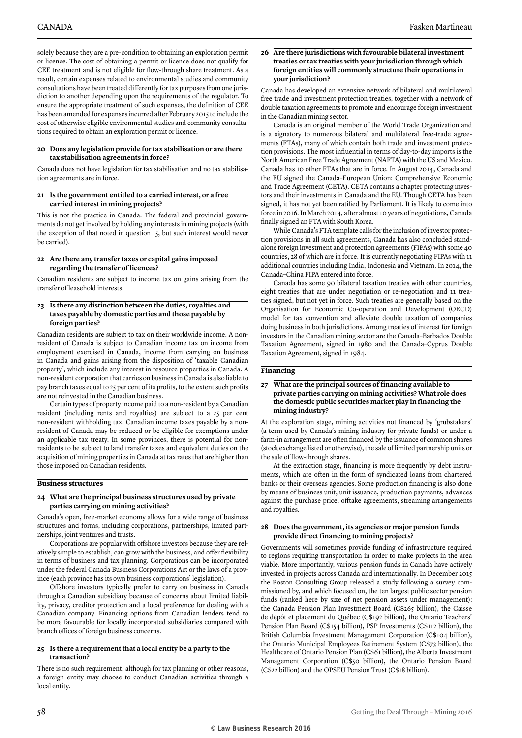solely because they are a pre-condition to obtaining an exploration permit or licence. The cost of obtaining a permit or licence does not qualify for CEE treatment and is not eligible for flow-through share treatment. As a result, certain expenses related to environmental studies and community consultations have been treated differently for tax purposes from one jurisdiction to another depending upon the requirements of the regulator. To ensure the appropriate treatment of such expenses, the definition of CEE has been amended for expenses incurred after February 2015 to include the cost of otherwise eligible environmental studies and community consultations required to obtain an exploration permit or licence.

#### **20 Does any legislation provide for tax stabilisation or are there tax stabilisation agreements in force?**

Canada does not have legislation for tax stabilisation and no tax stabilisation agreements are in force.

#### **21 Is the government entitled to a carried interest, or a free carried interest in mining projects?**

This is not the practice in Canada. The federal and provincial governments do not get involved by holding any interests in mining projects (with the exception of that noted in question 15, but such interest would never be carried).

#### **22 Are there any transfer taxes or capital gains imposed regarding the transfer of licences?**

Canadian residents are subject to income tax on gains arising from the transfer of leasehold interests.

#### **23 Is there any distinction between the duties, royalties and taxes payable by domestic parties and those payable by foreign parties?**

Canadian residents are subject to tax on their worldwide income. A nonresident of Canada is subject to Canadian income tax on income from employment exercised in Canada, income from carrying on business in Canada and gains arising from the disposition of 'taxable Canadian property', which include any interest in resource properties in Canada. A non-resident corporation that carries on business in Canada is also liable to pay branch taxes equal to 25 per cent of its profits, to the extent such profits are not reinvested in the Canadian business.

Certain types of property income paid to a non-resident by a Canadian resident (including rents and royalties) are subject to a 25 per cent non-resident withholding tax. Canadian income taxes payable by a nonresident of Canada may be reduced or be eligible for exemptions under an applicable tax treaty. In some provinces, there is potential for nonresidents to be subject to land transfer taxes and equivalent duties on the acquisition of mining properties in Canada at tax rates that are higher than those imposed on Canadian residents.

#### **Business structures**

#### **24 What are the principal business structures used by private parties carrying on mining activities?**

Canada's open, free-market economy allows for a wide range of business structures and forms, including corporations, partnerships, limited partnerships, joint ventures and trusts.

Corporations are popular with offshore investors because they are relatively simple to establish, can grow with the business, and offer flexibility in terms of business and tax planning. Corporations can be incorporated under the federal Canada Business Corporations Act or the laws of a province (each province has its own business corporations' legislation).

Offshore investors typically prefer to carry on business in Canada through a Canadian subsidiary because of concerns about limited liability, privacy, creditor protection and a local preference for dealing with a Canadian company. Financing options from Canadian lenders tend to be more favourable for locally incorporated subsidiaries compared with branch offices of foreign business concerns.

#### **25 Is there a requirement that a local entity be a party to the transaction?**

There is no such requirement, although for tax planning or other reasons, a foreign entity may choose to conduct Canadian activities through a local entity.

#### **26 Are there jurisdictions with favourable bilateral investment treaties or tax treaties with your jurisdiction through which foreign entities will commonly structure their operations in your jurisdiction?**

Canada has developed an extensive network of bilateral and multilateral free trade and investment protection treaties, together with a network of double taxation agreements to promote and encourage foreign investment in the Canadian mining sector.

Canada is an original member of the World Trade Organization and is a signatory to numerous bilateral and multilateral free-trade agreements (FTAs), many of which contain both trade and investment protection provisions. The most influential in terms of day-to-day imports is the North American Free Trade Agreement (NAFTA) with the US and Mexico. Canada has 10 other FTAs that are in force. In August 2014, Canada and the EU signed the Canada–European Union: Comprehensive Economic and Trade Agreement (CETA). CETA contains a chapter protecting investors and their investments in Canada and the EU. Though CETA has been signed, it has not yet been ratified by Parliament. It is likely to come into force in 2016. In March 2014, after almost 10 years of negotiations, Canada finally signed an FTA with South Korea.

While Canada's FTA template calls for the inclusion of investor protection provisions in all such agreements, Canada has also concluded standalone foreign investment and protection agreements (FIPAs) with some 40 countries, 28 of which are in force. It is currently negotiating FIPAs with 11 additional countries including India, Indonesia and Vietnam. In 2014, the Canada–China FIPA entered into force.

Canada has some 90 bilateral taxation treaties with other countries, eight treaties that are under negotiation or re-negotiation and 11 treaties signed, but not yet in force. Such treaties are generally based on the Organisation for Economic Co-operation and Development (OECD) model for tax convention and alleviate double taxation of companies doing business in both jurisdictions. Among treaties of interest for foreign investors in the Canadian mining sector are the Canada–Barbados Double Taxation Agreement, signed in 1980 and the Canada–Cyprus Double Taxation Agreement, signed in 1984.

#### **Financing**

#### **27 What are the principal sources of financing available to private parties carrying on mining activities? What role does the domestic public securities market play in financing the mining industry?**

At the exploration stage, mining activities not financed by 'grubstakers' (a term used by Canada's mining industry for private funds) or under a farm-in arrangement are often financed by the issuance of common shares (stock exchange listed or otherwise), the sale of limited partnership units or the sale of flow-through shares.

At the extraction stage, financing is more frequently by debt instruments, which are often in the form of syndicated loans from chartered banks or their overseas agencies. Some production financing is also done by means of business unit, unit issuance, production payments, advances against the purchase price, offtake agreements, streaming arrangements and royalties.

#### **28 Does the government, its agencies or major pension funds provide direct financing to mining projects?**

Governments will sometimes provide funding of infrastructure required to regions requiring transportation in order to make projects in the area viable. More importantly, various pension funds in Canada have actively invested in projects across Canada and internationally. In December 2015 the Boston Consulting Group released a study following a survey commissioned by, and which focused on, the ten largest public sector pension funds (ranked here by size of net pension assets under management): the Canada Pension Plan Investment Board (C\$265 billion), the Caisse de dépôt et placement du Québec (C\$192 billion), the Ontario Teachers' Pension Plan Board (C\$154 billion), PSP Investments (C\$112 billion), the British Columbia Investment Management Corporation (C\$104 billion), the Ontario Municipal Employees Retirement System (C\$73 billion), the Healthcare of Ontario Pension Plan (C\$61 billion), the Alberta Investment Management Corporation (C\$50 billion), the Ontario Pension Board (C\$22 billion) and the OPSEU Pension Trust (C\$18 billion).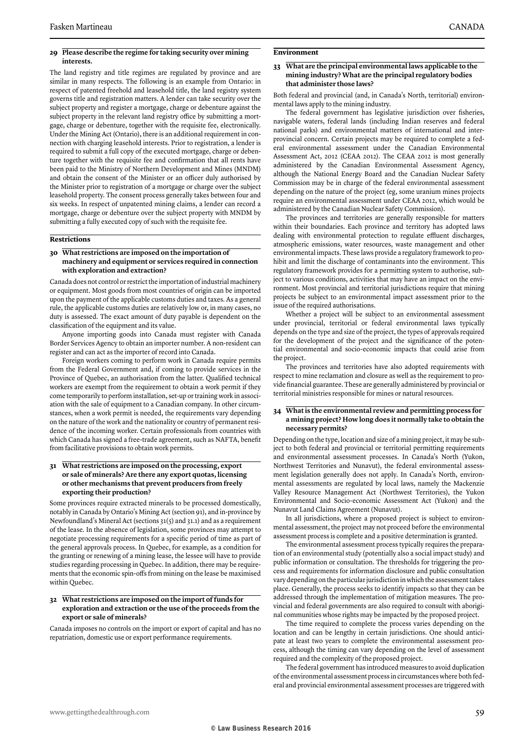#### **29 Please describe the regime for taking security over mining interests.**

The land registry and title regimes are regulated by province and are similar in many respects. The following is an example from Ontario: in respect of patented freehold and leasehold title, the land registry system governs title and registration matters. A lender can take security over the subject property and register a mortgage, charge or debenture against the subject property in the relevant land registry office by submitting a mortgage, charge or debenture, together with the requisite fee, electronically. Under the Mining Act (Ontario), there is an additional requirement in connection with charging leasehold interests. Prior to registration, a lender is required to submit a full copy of the executed mortgage, charge or debenture together with the requisite fee and confirmation that all rents have been paid to the Ministry of Northern Development and Mines (MNDM) and obtain the consent of the Minister or an officer duly authorised by the Minister prior to registration of a mortgage or charge over the subject leasehold property. The consent process generally takes between four and six weeks. In respect of unpatented mining claims, a lender can record a mortgage, charge or debenture over the subject property with MNDM by submitting a fully executed copy of such with the requisite fee.

#### **Restrictions**

#### **30 What restrictions are imposed on the importation of machinery and equipment or services required in connection with exploration and extraction?**

Canada does not control or restrict the importation of industrial machinery or equipment. Most goods from most countries of origin can be imported upon the payment of the applicable customs duties and taxes. As a general rule, the applicable customs duties are relatively low or, in many cases, no duty is assessed. The exact amount of duty payable is dependent on the classification of the equipment and its value.

Anyone importing goods into Canada must register with Canada Border Services Agency to obtain an importer number. A non-resident can register and can act as the importer of record into Canada.

Foreign workers coming to perform work in Canada require permits from the Federal Government and, if coming to provide services in the Province of Quebec, an authorisation from the latter. Qualified technical workers are exempt from the requirement to obtain a work permit if they come temporarily to perform installation, set-up or training work in association with the sale of equipment to a Canadian company. In other circumstances, when a work permit is needed, the requirements vary depending on the nature of the work and the nationality or country of permanent residence of the incoming worker. Certain professionals from countries with which Canada has signed a free-trade agreement, such as NAFTA, benefit from facilitative provisions to obtain work permits.

#### **31 What restrictions are imposed on the processing, export or sale of minerals? Are there any export quotas, licensing or other mechanisms that prevent producers from freely exporting their production?**

Some provinces require extracted minerals to be processed domestically, notably in Canada by Ontario's Mining Act (section 91), and in-province by Newfoundland's Mineral Act (sections 31(5) and 31.1) and as a requirement of the lease. In the absence of legislation, some provinces may attempt to negotiate processing requirements for a specific period of time as part of the general approvals process. In Quebec, for example, as a condition for the granting or renewing of a mining lease, the lessee will have to provide studies regarding processing in Quebec. In addition, there may be requirements that the economic spin-offs from mining on the lease be maximised within Quebec.

#### **32 What restrictions are imposed on the import of funds for exploration and extraction or the use of the proceeds from the export or sale of minerals?**

Canada imposes no controls on the import or export of capital and has no repatriation, domestic use or export performance requirements.

#### **Environment**

#### **33 What are the principal environmental laws applicable to the mining industry? What are the principal regulatory bodies that administer those laws?**

Both federal and provincial (and, in Canada's North, territorial) environmental laws apply to the mining industry.

The federal government has legislative jurisdiction over fisheries, navigable waters, federal lands (including Indian reserves and federal national parks) and environmental matters of international and interprovincial concern. Certain projects may be required to complete a federal environmental assessment under the Canadian Environmental Assessment Act, 2012 (CEAA 2012). The CEAA 2012 is most generally administered by the Canadian Environmental Assessment Agency, although the National Energy Board and the Canadian Nuclear Safety Commission may be in charge of the federal environmental assessment depending on the nature of the project (eg, some uranium mines projects require an environmental assessment under CEAA 2012, which would be administered by the Canadian Nuclear Safety Commission).

The provinces and territories are generally responsible for matters within their boundaries. Each province and territory has adopted laws dealing with environmental protection to regulate effluent discharges, atmospheric emissions, water resources, waste management and other environmental impacts. These laws provide a regulatory framework to prohibit and limit the discharge of contaminants into the environment. This regulatory framework provides for a permitting system to authorise, subject to various conditions, activities that may have an impact on the environment. Most provincial and territorial jurisdictions require that mining projects be subject to an environmental impact assessment prior to the issue of the required authorisations.

Whether a project will be subject to an environmental assessment under provincial, territorial or federal environmental laws typically depends on the type and size of the project, the types of approvals required for the development of the project and the significance of the potential environmental and socio-economic impacts that could arise from the project.

The provinces and territories have also adopted requirements with respect to mine reclamation and closure as well as the requirement to provide financial guarantee. These are generally administered by provincial or territorial ministries responsible for mines or natural resources.

#### **34 What is the environmental review and permitting process for a mining project? How long does it normally take to obtain the necessary permits?**

Depending on the type, location and size of a mining project, it may be subject to both federal and provincial or territorial permitting requirements and environmental assessment processes. In Canada's North (Yukon, Northwest Territories and Nunavut), the federal environmental assessment legislation generally does not apply. In Canada's North, environmental assessments are regulated by local laws, namely the Mackenzie Valley Resource Management Act (Northwest Territories), the Yukon Environmental and Socio-economic Assessment Act (Yukon) and the Nunavut Land Claims Agreement (Nunavut).

In all jurisdictions, where a proposed project is subject to environmental assessment, the project may not proceed before the environmental assessment process is complete and a positive determination is granted.

The environmental assessment process typically requires the preparation of an environmental study (potentially also a social impact study) and public information or consultation. The thresholds for triggering the process and requirements for information disclosure and public consultation vary depending on the particular jurisdiction in which the assessment takes place. Generally, the process seeks to identify impacts so that they can be addressed through the implementation of mitigation measures. The provincial and federal governments are also required to consult with aboriginal communities whose rights may be impacted by the proposed project.

The time required to complete the process varies depending on the location and can be lengthy in certain jurisdictions. One should anticipate at least two years to complete the environmental assessment process, although the timing can vary depending on the level of assessment required and the complexity of the proposed project.

The federal government has introduced measures to avoid duplication of the environmental assessment process in circumstances where both federal and provincial environmental assessment processes are triggered with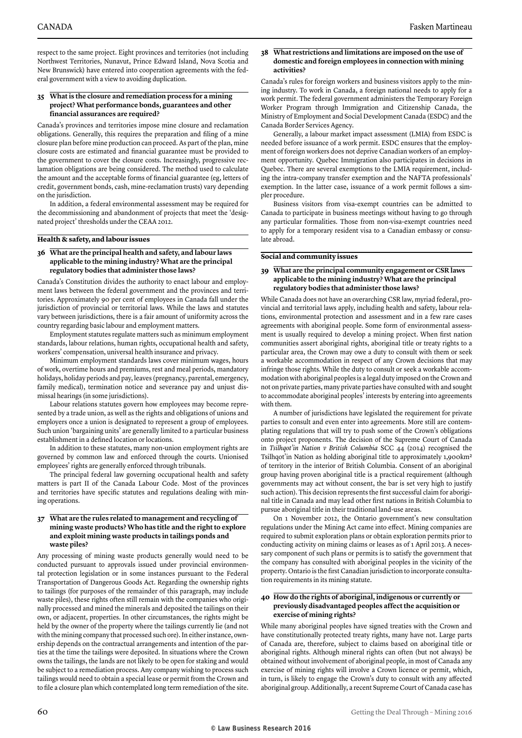respect to the same project. Eight provinces and territories (not including Northwest Territories, Nunavut, Prince Edward Island, Nova Scotia and New Brunswick) have entered into cooperation agreements with the federal government with a view to avoiding duplication.

#### **35 What is the closure and remediation process for a mining project? What performance bonds, guarantees and other financial assurances are required?**

Canada's provinces and territories impose mine closure and reclamation obligations. Generally, this requires the preparation and filing of a mine closure plan before mine production can proceed. As part of the plan, mine closure costs are estimated and financial guarantee must be provided to the government to cover the closure costs. Increasingly, progressive reclamation obligations are being considered. The method used to calculate the amount and the acceptable forms of financial guarantee (eg, letters of credit, government bonds, cash, mine-reclamation trusts) vary depending on the jurisdiction.

In addition, a federal environmental assessment may be required for the decommissioning and abandonment of projects that meet the 'designated project' thresholds under the CEAA 2012.

#### **Health & safety, and labour issues**

#### **36 What are the principal health and safety, and labour laws applicable to the mining industry? What are the principal regulatory bodies that administer those laws?**

Canada's Constitution divides the authority to enact labour and employment laws between the federal government and the provinces and territories. Approximately 90 per cent of employees in Canada fall under the jurisdiction of provincial or territorial laws. While the laws and statutes vary between jurisdictions, there is a fair amount of uniformity across the country regarding basic labour and employment matters.

Employment statutes regulate matters such as minimum employment standards, labour relations, human rights, occupational health and safety, workers' compensation, universal health insurance and privacy.

Minimum employment standards laws cover minimum wages, hours of work, overtime hours and premiums, rest and meal periods, mandatory holidays, holiday periods and pay, leaves (pregnancy, parental, emergency, family medical), termination notice and severance pay and unjust dismissal hearings (in some jurisdictions).

Labour relations statutes govern how employees may become represented by a trade union, as well as the rights and obligations of unions and employers once a union is designated to represent a group of employees. Such union 'bargaining units' are generally limited to a particular business establishment in a defined location or locations.

In addition to these statutes, many non-union employment rights are governed by common law and enforced through the courts. Unionised employees' rights are generally enforced through tribunals.

The principal federal law governing occupational health and safety matters is part II of the Canada Labour Code. Most of the provinces and territories have specific statutes and regulations dealing with mining operations.

#### **37 What are the rules related to management and recycling of mining waste products? Who has title and the right to explore and exploit mining waste products in tailings ponds and waste piles?**

Any processing of mining waste products generally would need to be conducted pursuant to approvals issued under provincial environmental protection legislation or in some instances pursuant to the Federal Transportation of Dangerous Goods Act. Regarding the ownership rights to tailings (for purposes of the remainder of this paragraph, may include waste piles), these rights often still remain with the companies who originally processed and mined the minerals and deposited the tailings on their own, or adjacent, properties. In other circumstances, the rights might be held by the owner of the property where the tailings currently lie (and not with the mining company that processed such ore). In either instance, ownership depends on the contractual arrangements and intention of the parties at the time the tailings were deposited. In situations where the Crown owns the tailings, the lands are not likely to be open for staking and would be subject to a remediation process. Any company wishing to process such tailings would need to obtain a special lease or permit from the Crown and to file a closure plan which contemplated long term remediation of the site.

#### **38 What restrictions and limitations are imposed on the use of domestic and foreign employees in connection with mining activities?**

Canada's rules for foreign workers and business visitors apply to the mining industry. To work in Canada, a foreign national needs to apply for a work permit. The federal government administers the Temporary Foreign Worker Program through Immigration and Citizenship Canada, the Ministry of Employment and Social Development Canada (ESDC) and the Canada Border Services Agency.

Generally, a labour market impact assessment (LMIA) from ESDC is needed before issuance of a work permit. ESDC ensures that the employment of foreign workers does not deprive Canadian workers of an employment opportunity. Quebec Immigration also participates in decisions in Quebec. There are several exemptions to the LMIA requirement, including the intra-company transfer exemption and the NAFTA professionals' exemption. In the latter case, issuance of a work permit follows a simpler procedure.

Business visitors from visa-exempt countries can be admitted to Canada to participate in business meetings without having to go through any particular formalities. Those from non-visa-exempt countries need to apply for a temporary resident visa to a Canadian embassy or consulate abroad.

#### **Social and community issues**

#### **39 What are the principal community engagement or CSR laws applicable to the mining industry? What are the principal regulatory bodies that administer those laws?**

While Canada does not have an overarching CSR law, myriad federal, provincial and territorial laws apply, including health and safety, labour relations, environmental protection and assessment and in a few rare cases agreements with aboriginal people. Some form of environmental assessment is usually required to develop a mining project. When first nation communities assert aboriginal rights, aboriginal title or treaty rights to a particular area, the Crown may owe a duty to consult with them or seek a workable accommodation in respect of any Crown decisions that may infringe those rights. While the duty to consult or seek a workable accommodation with aboriginal peoples is a legal duty imposed on the Crown and not on private parties, many private parties have consulted with and sought to accommodate aboriginal peoples' interests by entering into agreements with them.

A number of jurisdictions have legislated the requirement for private parties to consult and even enter into agreements. More still are contemplating regulations that will try to push some of the Crown's obligations onto project proponents. The decision of the Supreme Court of Canada in *Tsilhqot'in Nation v British Columbia* SCC 44 (2014) recognised the Tsilhqot'in Nation as holding aboriginal title to approximately 1,900km2 of territory in the interior of British Columbia. Consent of an aboriginal group having proven aboriginal title is a practical requirement (although governments may act without consent, the bar is set very high to justify such action). This decision represents the first successful claim for aboriginal title in Canada and may lead other first nations in British Columbia to pursue aboriginal title in their traditional land-use areas.

On 1 November 2012, the Ontario government's new consultation regulations under the Mining Act came into effect. Mining companies are required to submit exploration plans or obtain exploration permits prior to conducting activity on mining claims or leases as of 1 April 2013. A necessary component of such plans or permits is to satisfy the government that the company has consulted with aboriginal peoples in the vicinity of the property. Ontario is the first Canadian jurisdiction to incorporate consultation requirements in its mining statute.

#### **40 How do the rights of aboriginal, indigenous or currently or previously disadvantaged peoples affect the acquisition or exercise of mining rights?**

While many aboriginal peoples have signed treaties with the Crown and have constitutionally protected treaty rights, many have not. Large parts of Canada are, therefore, subject to claims based on aboriginal title or aboriginal rights. Although mineral rights can often (but not always) be obtained without involvement of aboriginal people, in most of Canada any exercise of mining rights will involve a Crown licence or permit, which, in turn, is likely to engage the Crown's duty to consult with any affected aboriginal group. Additionally, a recent Supreme Court of Canada case has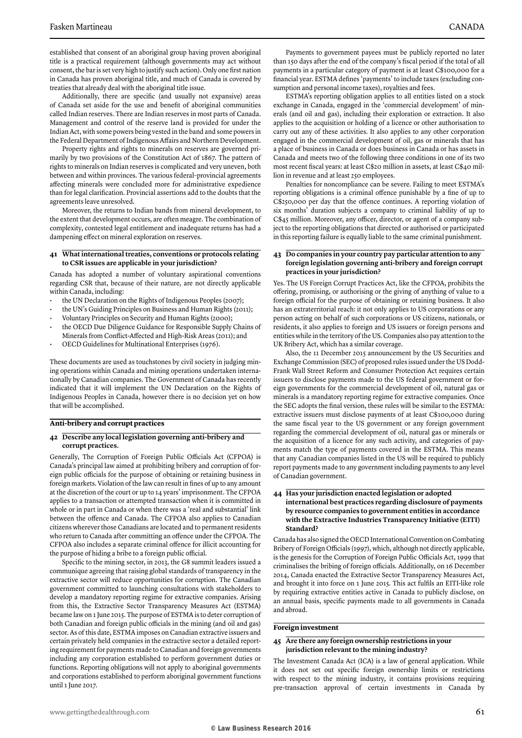established that consent of an aboriginal group having proven aboriginal title is a practical requirement (although governments may act without consent, the bar is set very high to justify such action). Only one first nation in Canada has proven aboriginal title, and much of Canada is covered by treaties that already deal with the aboriginal title issue.

Additionally, there are specific (and usually not expansive) areas of Canada set aside for the use and benefit of aboriginal communities called Indian reserves. There are Indian reserves in most parts of Canada. Management and control of the reserve land is provided for under the Indian Act, with some powers being vested in the band and some powers in the Federal Department of Indigenous Affairs and Northern Development.

Property rights and rights to minerals on reserves are governed primarily by two provisions of the Constitution Act of 1867. The pattern of rights to minerals on Indian reserves is complicated and very uneven, both between and within provinces. The various federal–provincial agreements affecting minerals were concluded more for administrative expedience than for legal clarification. Provincial assertions add to the doubts that the agreements leave unresolved.

Moreover, the returns to Indian bands from mineral development, to the extent that development occurs, are often meagre. The combination of complexity, contested legal entitlement and inadequate returns has had a dampening effect on mineral exploration on reserves.

#### **41 What international treaties, conventions or protocols relating to CSR issues are applicable in your jurisdiction?**

Canada has adopted a number of voluntary aspirational conventions regarding CSR that, because of their nature, are not directly applicable within Canada, including:

- the UN Declaration on the Rights of Indigenous Peoples (2007);
- the UN's Guiding Principles on Business and Human Rights (2011);
- Voluntary Principles on Security and Human Rights (2000);
- the OECD Due Diligence Guidance for Responsible Supply Chains of Minerals from Conflict-Affected and High-Risk Areas (2011); and
- OECD Guidelines for Multinational Enterprises (1976).

These documents are used as touchstones by civil society in judging mining operations within Canada and mining operations undertaken internationally by Canadian companies. The Government of Canada has recently indicated that it will implement the UN Declaration on the Rights of Indigenous Peoples in Canada, however there is no decision yet on how that will be accomplished.

#### **Anti-bribery and corrupt practices**

#### **42 Describe any local legislation governing anti-bribery and corrupt practices.**

Generally, The Corruption of Foreign Public Officials Act (CFPOA) is Canada's principal law aimed at prohibiting bribery and corruption of foreign public officials for the purpose of obtaining or retaining business in foreign markets. Violation of the law can result in fines of up to any amount at the discretion of the court or up to 14 years' imprisonment. The CFPOA applies to a transaction or attempted transaction when it is committed in whole or in part in Canada or when there was a 'real and substantial' link between the offence and Canada. The CFPOA also applies to Canadian citizens wherever those Canadians are located and to permanent residents who return to Canada after committing an offence under the CFPOA. The CFPOA also includes a separate criminal offence for illicit accounting for the purpose of hiding a bribe to a foreign public official.

Specific to the mining sector, in 2013, the G8 summit leaders issued a communique agreeing that raising global standards of transparency in the extractive sector will reduce opportunities for corruption. The Canadian government committed to launching consultations with stakeholders to develop a mandatory reporting regime for extractive companies. Arising from this, the Extractive Sector Transparency Measures Act (ESTMA) became law on 1 June 2015. The purpose of ESTMA is to deter corruption of both Canadian and foreign public officials in the mining (and oil and gas) sector. As of this date, ESTMA imposes on Canadian extractive issuers and certain privately held companies in the extractive sector a detailed reporting requirement for payments made to Canadian and foreign governments including any corporation established to perform government duties or functions. Reporting obligations will not apply to aboriginal governments and corporations established to perform aboriginal government functions until 1 June 2017.

Payments to government payees must be publicly reported no later than 150 days after the end of the company's fiscal period if the total of all payments in a particular category of payment is at least C\$100,000 for a financial year. ESTMA defines 'payments' to include taxes (excluding consumption and personal income taxes), royalties and fees.

ESTMA's reporting obligation applies to all entities listed on a stock exchange in Canada, engaged in the 'commercial development' of minerals (and oil and gas), including their exploration or extraction. It also applies to the acquisition or holding of a licence or other authorisation to carry out any of these activities. It also applies to any other corporation engaged in the commercial development of oil, gas or minerals that has a place of business in Canada or does business in Canada or has assets in Canada and meets two of the following three conditions in one of its two most recent fiscal years: at least C\$20 million in assets, at least C\$40 million in revenue and at least 250 employees.

Penalties for noncompliance can be severe. Failing to meet ESTMA's reporting obligations is a criminal offence punishable by a fine of up to C\$250,000 per day that the offence continues. A reporting violation of six months' duration subjects a company to criminal liability of up to C\$45 million. Moreover, any officer, director, or agent of a company subject to the reporting obligations that directed or authorised or participated in this reporting failure is equally liable to the same criminal punishment.

#### **43 Do companies in your country pay particular attention to any foreign legislation governing anti-bribery and foreign corrupt practices in your jurisdiction?**

Yes. The US Foreign Corrupt Practices Act, like the CFPOA, prohibits the offering, promising, or authorising or the giving of anything of value to a foreign official for the purpose of obtaining or retaining business. It also has an extraterritorial reach: it not only applies to US corporations or any person acting on behalf of such corporations or US citizens, nationals, or residents, it also applies to foreign and US issuers or foreign persons and entities while in the territory of the US. Companies also pay attention to the UK Bribery Act, which has a similar coverage.

Also, the 11 December 2015 announcement by the US Securities and Exchange Commission (SEC) of proposed rules issued under the US Dodd-Frank Wall Street Reform and Consumer Protection Act requires certain issuers to disclose payments made to the US federal government or foreign governments for the commercial development of oil, natural gas or minerals is a mandatory reporting regime for extractive companies. Once the SEC adopts the final version, these rules will be similar to the ESTMA: extractive issuers must disclose payments of at least C\$100,000 during the same fiscal year to the US government or any foreign government regarding the commercial development of oil, natural gas or minerals or the acquisition of a licence for any such activity, and categories of payments match the type of payments covered in the ESTMA. This means that any Canadian companies listed in the US will be required to publicly report payments made to any government including payments to any level of Canadian government.

#### **44 Has your jurisdiction enacted legislation or adopted international best practices regarding disclosure of payments by resource companies to government entities in accordance with the Extractive Industries Transparency Initiative (EITI) Standard?**

Canada has also signed the OECD International Convention on Combating Bribery of Foreign Officials (1997), which, although not directly applicable, is the genesis for the Corruption of Foreign Public Officials Act, 1999 that criminalises the bribing of foreign officials. Additionally, on 16 December 2014, Canada enacted the Extractive Sector Transparency Measures Act, and brought it into force on 1 June 2015. This act fulfils an EITI-like role by requiring extractive entities active in Canada to publicly disclose, on an annual basis, specific payments made to all governments in Canada and abroad.

#### **Foreign investment**

#### **45 Are there any foreign ownership restrictions in your jurisdiction relevant to the mining industry?**

The Investment Canada Act (ICA) is a law of general application. While it does not set out specific foreign ownership limits or restrictions with respect to the mining industry, it contains provisions requiring pre-transaction approval of certain investments in Canada by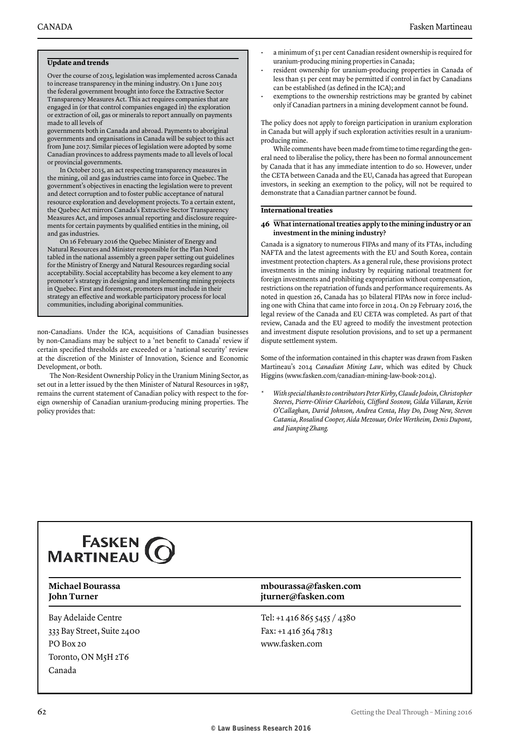#### **Update and trends**

Over the course of 2015, legislation was implemented across Canada to increase transparency in the mining industry. On 1 June 2015 the federal government brought into force the Extractive Sector Transparency Measures Act. This act requires companies that are engaged in (or that control companies engaged in) the exploration or extraction of oil, gas or minerals to report annually on payments made to all levels of

governments both in Canada and abroad. Payments to aboriginal governments and organisations in Canada will be subject to this act from June 2017. Similar pieces of legislation were adopted by some Canadian provinces to address payments made to all levels of local or provincial governments.

In October 2015, an act respecting transparency measures in the mining, oil and gas industries came into force in Quebec. The government's objectives in enacting the legislation were to prevent and detect corruption and to foster public acceptance of natural resource exploration and development projects. To a certain extent, the Quebec Act mirrors Canada's Extractive Sector Transparency Measures Act, and imposes annual reporting and disclosure requirements for certain payments by qualified entities in the mining, oil and gas industries.

On 16 February 2016 the Quebec Minister of Energy and Natural Resources and Minister responsible for the Plan Nord tabled in the national assembly a green paper setting out guidelines for the Ministry of Energy and Natural Resources regarding social acceptability. Social acceptability has become a key element to any promoter's strategy in designing and implementing mining projects in Quebec. First and foremost, promoters must include in their strategy an effective and workable participatory process for local communities, including aboriginal communities.

non-Canadians. Under the ICA, acquisitions of Canadian businesses by non-Canadians may be subject to a 'net benefit to Canada' review if certain specified thresholds are exceeded or a 'national security' review at the discretion of the Minister of Innovation, Science and Economic Development, or both.

The Non-Resident Ownership Policy in the Uranium Mining Sector, as set out in a letter issued by the then Minister of Natural Resources in 1987, remains the current statement of Canadian policy with respect to the foreign ownership of Canadian uranium-producing mining properties. The policy provides that:

- a minimum of 51 per cent Canadian resident ownership is required for uranium-producing mining properties in Canada;
- resident ownership for uranium-producing properties in Canada of less than 51 per cent may be permitted if control in fact by Canadians can be established (as defined in the ICA); and
- exemptions to the ownership restrictions may be granted by cabinet only if Canadian partners in a mining development cannot be found.

The policy does not apply to foreign participation in uranium exploration in Canada but will apply if such exploration activities result in a uraniumproducing mine.

While comments have been made from time to time regarding the general need to liberalise the policy, there has been no formal announcement by Canada that it has any immediate intention to do so. However, under the CETA between Canada and the EU, Canada has agreed that European investors, in seeking an exemption to the policy, will not be required to demonstrate that a Canadian partner cannot be found.

#### **International treaties**

#### **46 What international treaties apply to the mining industry or an investment in the mining industry?**

Canada is a signatory to numerous FIPAs and many of its FTAs, including NAFTA and the latest agreements with the EU and South Korea, contain investment protection chapters. As a general rule, these provisions protect investments in the mining industry by requiring national treatment for foreign investments and prohibiting expropriation without compensation, restrictions on the repatriation of funds and performance requirements. As noted in question 26, Canada has 30 bilateral FIPAs now in force including one with China that came into force in 2014. On 29 February 2016, the legal review of the Canada and EU CETA was completed. As part of that review, Canada and the EU agreed to modify the investment protection and investment dispute resolution provisions, and to set up a permanent dispute settlement system.

Some of the information contained in this chapter was drawn from Fasken Martineau's 2014 *Canadian Mining Law*, which was edited by Chuck Higgins (www.fasken.com/canadian-mining-law-book-2014).

*\* With special thanks to contributors Peter Kirby, Claude Jodoin, Christopher Steeves, Pierre-Olivier Charlebois, Clifford Sosnow, Gilda Villaran, Kevin O'Callaghan, David Johnson, Andrea Centa, Huy Do, Doug New, Steven Catania, Rosalind Cooper, Aïda Mezouar, Orlee Wertheim, Denis Dupont, and Jianping Zhang.*

## **FASKEN MARTINEAU**

Bay Adelaide Centre 333 Bay Street, Suite 2400 PO Box 20 Toronto, ON M5H 2T6 Canada

#### **Michael Bourassa mbourassa@fasken.com John Turner jturner@fasken.com**

Tel: +1 416 865 5455 / 4380 Fax: +1 416 364 7813 www.fasken.com